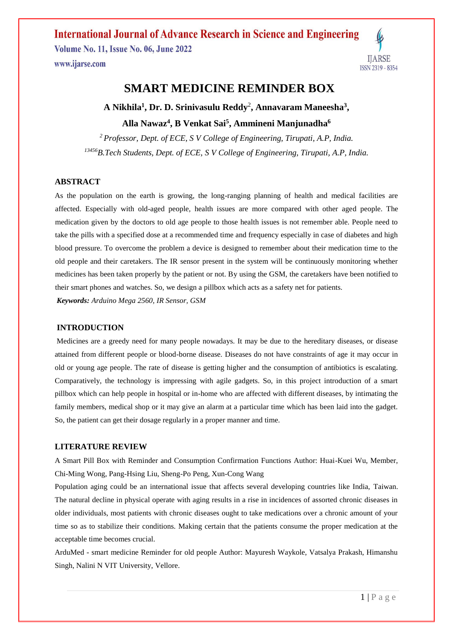**Volume No. 11, Issue No. 06, June 2022** www.ijarse.com



# **SMART MEDICINE REMINDER BOX**

**A Nikhila<sup>1</sup> , Dr. D. Srinivasulu Reddy**<sup>2</sup> **, Annavaram Maneesha<sup>3</sup> , Alla Nawaz<sup>4</sup> , B Venkat Sai<sup>5</sup> , Ammineni Manjunadha<sup>6</sup>**

*<sup>2</sup> Professor, Dept. of ECE, S V College of Engineering, Tirupati, A.P, India. <sup>13456</sup>B.Tech Students, Dept. of ECE, S V College of Engineering, Tirupati, A.P, India.*

## **ABSTRACT**

As the population on the earth is growing, the long-ranging planning of health and medical facilities are affected. Especially with old-aged people, health issues are more compared with other aged people. The medication given by the doctors to old age people to those health issues is not remember able. People need to take the pills with a specified dose at a recommended time and frequency especially in case of diabetes and high blood pressure. To overcome the problem a device is designed to remember about their medication time to the old people and their caretakers. The IR sensor present in the system will be continuously monitoring whether medicines has been taken properly by the patient or not. By using the GSM, the caretakers have been notified to their smart phones and watches. So, we design a pillbox which acts as a safety net for patients. *Keywords: Arduino Mega 2560, IR Sensor, GSM* 

### **INTRODUCTION**

Medicines are a greedy need for many people nowadays. It may be due to the hereditary diseases, or disease attained from different people or blood-borne disease. Diseases do not have constraints of age it may occur in old or young age people. The rate of disease is getting higher and the consumption of antibiotics is escalating. Comparatively, the technology is impressing with agile gadgets. So, in this project introduction of a smart pillbox which can help people in hospital or in-home who are affected with different diseases, by intimating the family members, medical shop or it may give an alarm at a particular time which has been laid into the gadget. So, the patient can get their dosage regularly in a proper manner and time.

### **LITERATURE REVIEW**

A Smart Pill Box with Reminder and Consumption Confirmation Functions Author: Huai-Kuei Wu, Member, Chi-Ming Wong, Pang-Hsing Liu, Sheng-Po Peng, Xun-Cong Wang

Population aging could be an international issue that affects several developing countries like India, Taiwan. The natural decline in physical operate with aging results in a rise in incidences of assorted chronic diseases in older individuals, most patients with chronic diseases ought to take medications over a chronic amount of your time so as to stabilize their conditions. Making certain that the patients consume the proper medication at the acceptable time becomes crucial.

ArduMed - smart medicine Reminder for old people Author: Mayuresh Waykole, Vatsalya Prakash, Himanshu Singh, Nalini N VIT University, Vellore.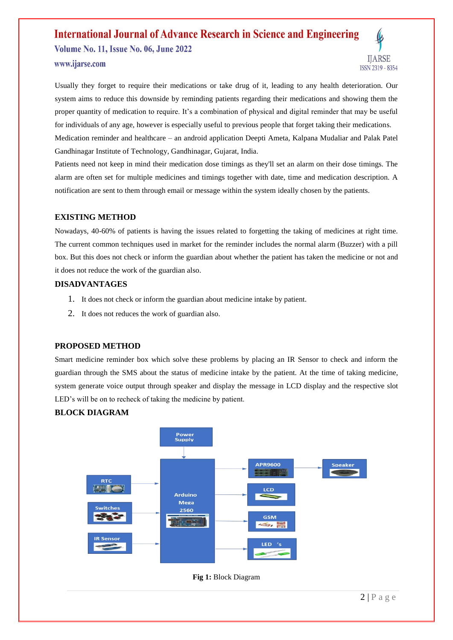**Volume No. 11, Issue No. 06, June 2022** www.ijarse.com



Usually they forget to require their medications or take drug of it, leading to any health deterioration. Our system aims to reduce this downside by reminding patients regarding their medications and showing them the proper quantity of medication to require. It's a combination of physical and digital reminder that may be useful for individuals of any age, however is especially useful to previous people that forget taking their medications. Medication reminder and healthcare – an android application Deepti Ameta, Kalpana Mudaliar and Palak Patel Gandhinagar Institute of Technology, Gandhinagar, Gujarat, India.

Patients need not keep in mind their medication dose timings as they'll set an alarm on their dose timings. The alarm are often set for multiple medicines and timings together with date, time and medication description. A notification are sent to them through email or message within the system ideally chosen by the patients.

## **EXISTING METHOD**

Nowadays, 40-60% of patients is having the issues related to forgetting the taking of medicines at right time. The current common techniques used in market for the reminder includes the normal alarm (Buzzer) with a pill box. But this does not check or inform the guardian about whether the patient has taken the medicine or not and it does not reduce the work of the guardian also.

### **DISADVANTAGES**

- 1. It does not check or inform the guardian about medicine intake by patient.
- 2. It does not reduces the work of guardian also.

## **PROPOSED METHOD**

Smart medicine reminder box which solve these problems by placing an IR Sensor to check and inform the guardian through the SMS about the status of medicine intake by the patient. At the time of taking medicine, system generate voice output through speaker and display the message in LCD display and the respective slot LED's will be on to recheck of taking the medicine by patient.

## **BLOCK DIAGRAM**



**Fig 1:** Block Diagram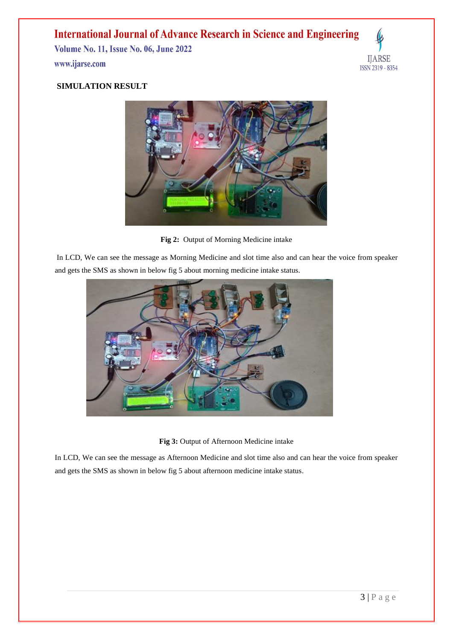**Volume No. 11, Issue No. 06, June 2022** www.ijarse.com



## **SIMULATION RESULT**



**Fig 2:** Output of Morning Medicine intake

In LCD, We can see the message as Morning Medicine and slot time also and can hear the voice from speaker and gets the SMS as shown in below fig 5 about morning medicine intake status.



**Fig 3:** Output of Afternoon Medicine intake

In LCD, We can see the message as Afternoon Medicine and slot time also and can hear the voice from speaker and gets the SMS as shown in below fig 5 about afternoon medicine intake status.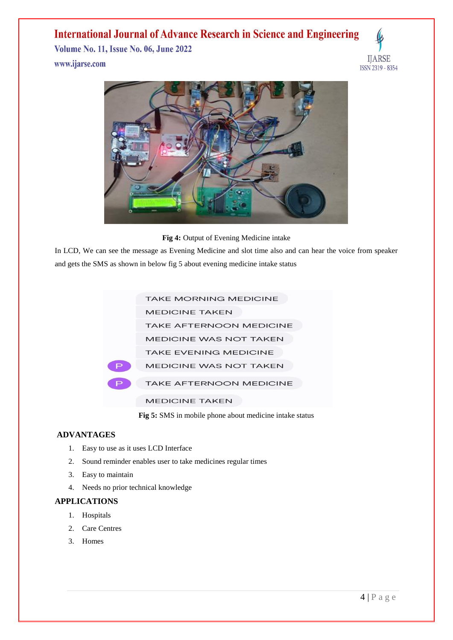**Volume No. 11, Issue No. 06, June 2022** www.ijarse.com





**Fig 4:** Output of Evening Medicine intake

In LCD, We can see the message as Evening Medicine and slot time also and can hear the voice from speaker and gets the SMS as shown in below fig 5 about evening medicine intake status



**Fig 5:** SMS in mobile phone about medicine intake status

## **ADVANTAGES**

- 1. Easy to use as it uses LCD Interface
- 2. Sound reminder enables user to take medicines regular times
- 3. Easy to maintain
- 4. Needs no prior technical knowledge

## **APPLICATIONS**

- 1. Hospitals
- 2. Care Centres
- 3. Homes